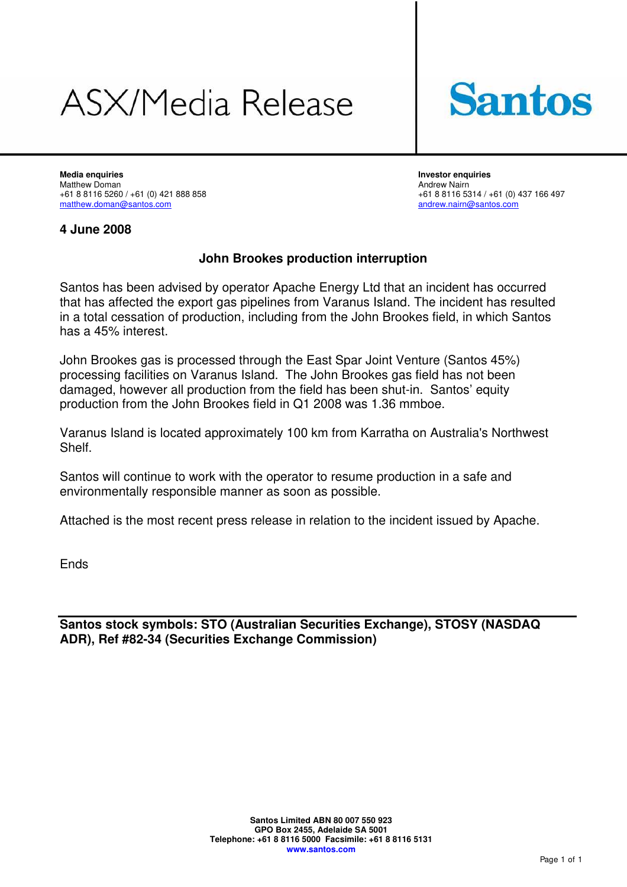# **ASX/Media Release**



**Media enquiries Investor enquiries**  Matthew Doman **Andrew Nairn**<br>+61 8 8116 5260 / +61 (0) 421 888 858 **Andrew Nairn** +61 8 8116 53 +61 8 8116 5260 / +61 (0) 421 888 858<br>
matthew.doman@santos.com<br>
andrew.nairn@santos.com<br>
andrew.nairn@santos.com

andrew.nairn@santos.com

### **4 June 2008**

### **John Brookes production interruption**

Santos has been advised by operator Apache Energy Ltd that an incident has occurred that has affected the export gas pipelines from Varanus Island. The incident has resulted in a total cessation of production, including from the John Brookes field, in which Santos has a 45% interest.

John Brookes gas is processed through the East Spar Joint Venture (Santos 45%) processing facilities on Varanus Island. The John Brookes gas field has not been damaged, however all production from the field has been shut-in. Santos' equity production from the John Brookes field in Q1 2008 was 1.36 mmboe.

Varanus Island is located approximately 100 km from Karratha on Australia's Northwest **Shelf** 

Santos will continue to work with the operator to resume production in a safe and environmentally responsible manner as soon as possible.

Attached is the most recent press release in relation to the incident issued by Apache.

Ends

**Santos stock symbols: STO (Australian Securities Exchange), STOSY (NASDAQ ADR), Ref #82-34 (Securities Exchange Commission)**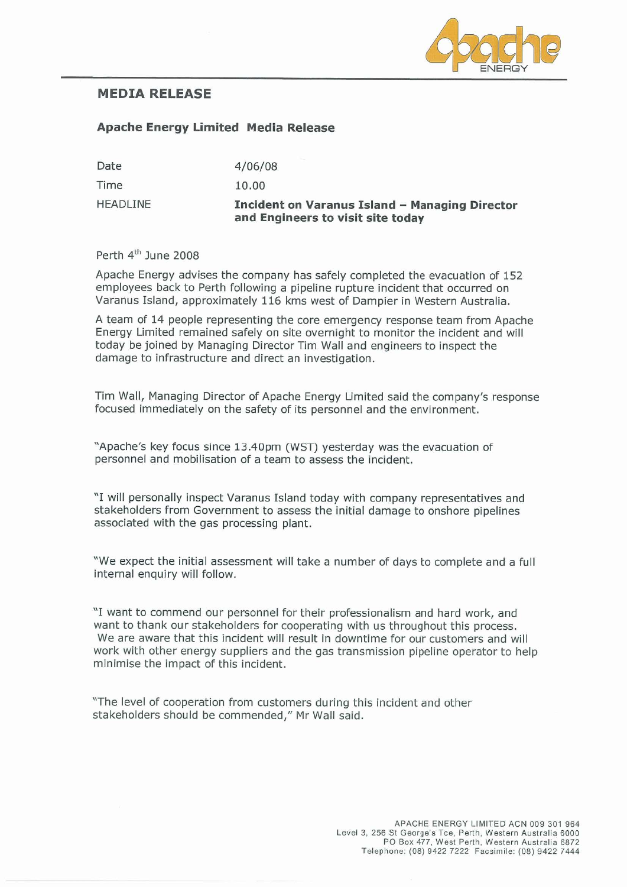

## **MEDIA RELEASE**

#### **Apache Energy Limited Media Release**

| Date            | 4/06/08                                                                             |
|-----------------|-------------------------------------------------------------------------------------|
| Time            | 10.00                                                                               |
| <b>HEADLINE</b> | Incident on Varanus Island - Managing Director<br>and Engineers to visit site today |

Perth 4<sup>th</sup> June 2008

Apache Energy advises the company has safely completed the evacuation of 152 employees back to Perth following a pipeline rupture incident that occurred on Varanus Island, approximately 116 kms west of Dampier in Western Australia.

A team of 14 people representing the core emergency response team from Apache Energy Limited remained safely on site overnight to monitor the incident and will today be joined by Managing Director Tim Wall and engineers to inspect the damage to infrastructure and direct an investigation.

Tim Wall, Managing Director of Apache Energy Limited said the company's response focused immediately on the safety of its personnel and the environment.

"Apache's key focus since 13.40pm (WST) yesterday was the evacuation of personnel and mobilisation of a team to assess the incident.

"I will personally inspect Varanus Island today with company representatives and stakeholders from Government to assess the initial damage to onshore pipelines associated with the gas processing plant.

"We expect the initial assessment will take a number of days to complete and a full internal enquiry will follow.

"I want to commend our personnel for their professionalism and hard work, and want to thank our stakeholders for cooperating with us throughout this process. We are aware that this incident will result in downtime for our customers and will work with other energy suppliers and the gas transmission pipeline operator to help minimise the impact of this incident.

"The level of cooperation from customers during this incident and other stakeholders should be commended," Mr Wall said.